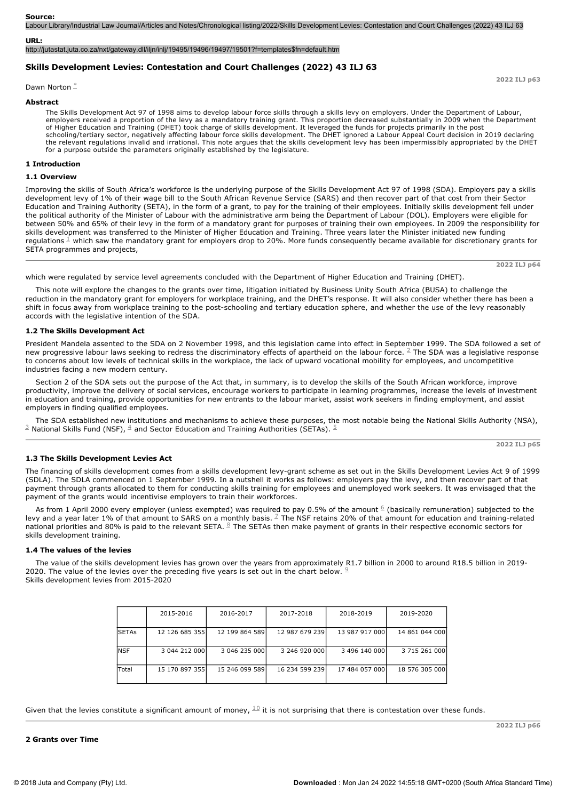#### **Source:**

Labour Library/Industrial Law Journal/Articles and Notes/Chronological listing/2022/Skills Development Levies: Contestation and Court Challenges (2022) 43 ILJ 63

### **URL:**

http://jutastat.juta.co.za/nxt/gateway.dll/iljn/inlj/19495/19496/19497/19501?f=templates\$fn=default.htm

# **Skills Development Levies: Contestation and Court Challenges (2022) 43 ILJ 63**

Dawn Norton<sup>\*</sup>

### **Abstract**

The Skills Development Act 97 of 1998 aims to develop labour force skills through a skills levy on employers. Under the Department of Labour, employers received a proportion of the levy as a mandatory training grant. This proportion decreased substantially in 2009 when the Department of Higher Education and Training (DHET) took charge of skills development. It leveraged the funds for projects primarily in the post schooling/tertiary sector, negatively affecting labour force skills development. The DHET ignored a Labour Appeal Court decision in 2019 declaring the relevant regulations invalid and irrational. This note argues that the skills development levy has been impermissibly appropriated by the DHET for a purpose outside the parameters originally established by the legislature.

### **1 Introduction**

### **1.1 Overview**

Improving the skills of South Africa's workforce is the underlying purpose of the Skills Development Act 97 of 1998 (SDA). Employers pay a skills development levy of 1% of their wage bill to the South African Revenue Service (SARS) and then recover part of that cost from their Sector Education and Training Authority (SETA), in the form of a grant, to pay for the training of their employees. Initially skills development fell under the political authority of the Minister of Labour with the administrative arm being the Department of Labour (DOL). Employers were eligible for between 50% and 65% of their levy in the form of a mandatory grant for purposes of training their own employees. In 2009 the responsibility for skills development was transferred to the Minister of Higher Education and Training. Three years later the Minister initiated new funding regulations  $1\overline{ }$  which saw the mandatory grant for employers drop to 20%. More funds consequently became available for discretionary grants for SETA programmes and projects,

**2022 ILJ p64**

**2022 ILJ p63**

which were regulated by service level agreements concluded with the Department of Higher Education and Training (DHET).

This note will explore the changes to the grants over time, litigation initiated by Business Unity South Africa (BUSA) to challenge the reduction in the mandatory grant for employers for workplace training, and the DHET's response. It will also consider whether there has been a shift in focus away from workplace training to the post-schooling and tertiary education sphere, and whether the use of the levy reasonably accords with the legislative intention of the SDA.

## **1.2 The Skills Development Act**

President Mandela assented to the SDA on 2 November 1998, and this legislation came into effect in September 1999. The SDA followed a set of new progressive labour laws seeking to redress the discriminatory effects of apartheid on the labour force.  $\stackrel{?}{=}$  The SDA was a legislative response to concerns about low levels of technical skills in the workplace, the lack of upward vocational mobility for employees, and uncompetitive industries facing a new modern century.

Section 2 of the SDA sets out the purpose of the Act that, in summary, is to develop the skills of the South African workforce, improve productivity, improve the delivery of social services, encourage workers to participate in learning programmes, increase the levels of investment in education and training, provide opportunities for new entrants to the labour market, assist work seekers in finding employment, and assist employers in finding qualified employees.

The SDA established new institutions and mechanisms to achieve these purposes, the most notable being the National Skills Authority (NSA),  $^{\text{\tiny{\textup{J}}}}$  National Skills Fund (NSF),  $^{\text{\tiny{\textup{A}}}}$  and Sector Education and Training Authorities (SETAs).  $^{\text{\tiny{\textup{S}}}}$ 

**2022 ILJ p65**

## **1.3 The Skills Development Levies Act**

The financing of skills development comes from a skills development levy-grant scheme as set out in the Skills Development Levies Act 9 of 1999 (SDLA). The SDLA commenced on 1 September 1999. In a nutshell it works as follows: employers pay the levy, and then recover part of that payment through grants allocated to them for conducting skills training for employees and unemployed work seekers. It was envisaged that the payment of the grants would incentivise employers to train their workforces.

As from 1 April 2000 every employer (unless exempted) was required to pay 0.5% of the amount  $6/6$  (basically remuneration) subjected to the levy and a year later 1% of that amount to SARS on a monthly basis. <sup>Z</sup> The NSF retains 20% of that amount for education and training-related national priorities and 80% is paid to the relevant SETA.  $\frac{8}{5}$  The SETAs then make payment of grants in their respective economic sectors for skills development training.

#### **1.4 The values of the levies**

The value of the skills development levies has grown over the years from approximately R1.7 billion in 2000 to around R18.5 billion in 2019 2020. The value of the levies over the preceding five years is set out in the chart below.  $9$ Skills development levies from 2015-2020

|              | 2015-2016      | 2016-2017      | 2017-2018      | 2018-2019      | 2019-2020      |
|--------------|----------------|----------------|----------------|----------------|----------------|
| <b>SETAs</b> | 12 126 685 355 | 12 199 864 589 | 12 987 679 239 | 13 987 917 000 | 14 861 044 000 |
|              |                |                |                |                |                |
|              |                |                |                |                |                |
| <b>NSF</b>   | 3 044 212 000  | 3 046 235 000  | 3 246 920 000  | 3 496 140 000  | 3 715 261 000  |
|              |                |                |                |                |                |
| Total        | 15 170 897 355 | 15 246 099 589 | 16 234 599 239 | 17 484 057 000 | 18 576 305 000 |
|              |                |                |                |                |                |

Given that the levies constitute a significant amount of money,  $^{10}$  it is not surprising that there is contestation over these funds.

**2 Grants over Time**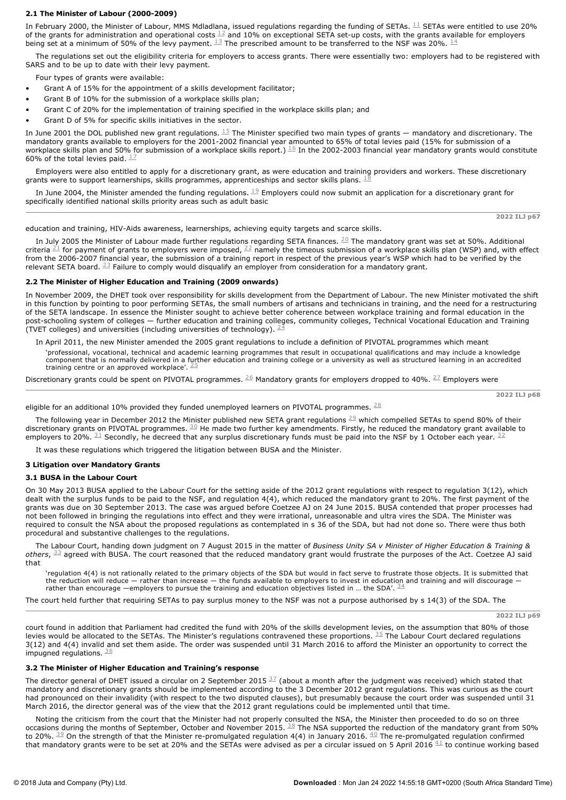# **2.1 The Minister of Labour (20002009)**

In February 2000, the Minister of Labour, MMS Mdladlana, issued regulations regarding the funding of SETAs.  $^{\rm 11}$  SETAs were entitled to use 20% of the grants for administration and operational costs  $^{12}$  and 10% on exceptional SETA set-up costs, with the grants available for employers being set at a minimum of 50% of the levy payment.  $^{13}$  The prescribed amount to be transferred to the NSF was 20%.  $^{14}$ 

The regulations set out the eligibility criteria for employers to access grants. There were essentially two: employers had to be registered with SARS and to be up to date with their levy payment.

Four types of grants were available:

- Grant A of 15% for the appointment of a skills development facilitator:
- Grant B of 10% for the submission of a workplace skills plan:
- Grant C of 20% for the implementation of training specified in the workplace skills plan; and
- Grant D of 5% for specific skills initiatives in the sector.

In June 2001 the DOL published new grant regulations.  $^{15}$  The Minister specified two main types of grants — mandatory and discretionary. The mandatory grants available to employers for the 2001-2002 financial year amounted to 65% of total levies paid (15% for submission of a workplace skills plan and 50% for submission of a workplace skills report.)  $^{16}$  In the 2002-2003 financial year mandatory grants would constitute 60% of the total levies paid.  $\frac{17}{1}$ 

Employers were also entitled to apply for a discretionary grant, as were education and training providers and workers. These discretionary grants were to support learnerships, skills programmes, apprenticeships and sector skills plans. 18

In June 2004, the Minister amended the funding regulations.  $^{19}$  Employers could now submit an application for a discretionary grant for specifically identified national skills priority areas such as adult basic

education and training, HIV-Aids awareness, learnerships, achieving equity targets and scarce skills.

In July 2005 the Minister of Labour made further regulations regarding SETA finances.  $^{20}$  The mandatory grant was set at 50%. Additional criteria  $^{21}$  for payment of grants to employers were imposed,  $^{22}$  namely the timeous submission of a workplace skills plan (WSP) and, with effect from the 2006-2007 financial year, the submission of a training report in respect of the previous year's WSP which had to be verified by the relevant SETA board.  $^{23}$  Failure to comply would disqualify an employer from consideration for a mandatory grant.

# **2.2 The Minister of Higher Education and Training (2009 onwards)**

In November 2009, the DHET took over responsibility for skills development from the Department of Labour. The new Minister motivated the shift in this function by pointing to poor performing SETAs, the small numbers of artisans and technicians in training, and the need for a restructuring of the SETA landscape. In essence the Minister sought to achieve better coherence between workplace training and formal education in the post-schooling system of colleges — further education and training colleges, community colleges, Technical Vocational Education and Training (TVET colleges) and universities (including universities of technology).  $24$ 

In April 2011, the new Minister amended the 2005 grant regulations to include a definition of PIVOTAL programmes which meant 'professional, vocational, technical and academic learning programmes that result in occupational qualifications and may include a knowledge component that is normally delivered in a further education and training college or a university as well as structured learning in an accredited training centre or an approved workplace'.  $25$ 

Discretionary grants could be spent on PIVOTAL programmes.  $^{26}$  Mandatory grants for employers dropped to 40%.  $^{27}$  Employers were

**2022 ILJ p68**

**2022 ILJ p67**

eligible for an additional 10% provided they funded unemployed learners on PIVOTAL programmes.  $^{\underline{28}}$ 

The following year in December 2012 the Minister published new SETA grant regulations  $^{29}$  which compelled SETAs to spend 80% of their discretionary grants on PIVOTAL programmes.  $30$  He made two further key amendments. Firstly, he reduced the mandatory grant available to employers to 20%.  $^{\text{31}}$  Secondly, he decreed that any surplus discretionary funds must be paid into the NSF by 1 October each year.  $^{\text{32}}$ 

It was these regulations which triggered the litigation between BUSA and the Minister.

## **3 Litigation over Mandatory Grants**

# **3.1 BUSA in the Labour Court**

On 30 May 2013 BUSA applied to the Labour Court for the setting aside of the 2012 grant regulations with respect to regulation 3(12), which dealt with the surplus funds to be paid to the NSF, and regulation 4(4), which reduced the mandatory grant to 20%. The first payment of the grants was due on 30 September 2013. The case was argued before Coetzee AJ on 24 June 2015. BUSA contended that proper processes had not been followed in bringing the regulations into effect and they were irrational, unreasonable and ultra vires the SDA. The Minister was required to consult the NSA about the proposed regulations as contemplated in s 36 of the SDA, but had not done so. There were thus both procedural and substantive challenges to the regulations.

The Labour Court, handing down judgment on 7 August 2015 in the matter of *Business Unity SA v Minister of Higher Education & Training &*  $o$ thers,  $^{\text{33}}$  agreed with BUSA. The court reasoned that the reduced mandatory grant would frustrate the purposes of the Act. Coetzee AJ said that

'regulation 4(4) is not rationally related to the primary objects of the SDA but would in fact serve to frustrate those objects. It is submitted that the reduction will reduce — rather than increase — the funds available to employers to invest in education and training and will discourage rather than encourage —employers to pursue the training and education objectives listed in ... the SDA'.  $\frac{34}{3}$ 

The court held further that requiring SETAs to pay surplus money to the NSF was not a purpose authorised by s 14(3) of the SDA. The

**2022 ILJ p69**

court found in addition that Parliament had credited the fund with 20% of the skills development levies, on the assumption that 80% of those levies would be allocated to the SETAs. The Minister's regulations contravened these proportions.  $35$  The Labour Court declared regulations 3(12) and 4(4) invalid and set them aside. The order was suspended until 31 March 2016 to afford the Minister an opportunity to correct the impugned regulations.  $\frac{36}{5}$ 

## **3.2 The Minister of Higher Education and Training's response**

The director general of DHET issued a circular on 2 September 2015  $^{37}$  (about a month after the judgment was received) which stated that mandatory and discretionary grants should be implemented according to the 3 December 2012 grant regulations. This was curious as the court had pronounced on their invalidity (with respect to the two disputed clauses), but presumably because the court order was suspended until 31 March 2016, the director general was of the view that the 2012 grant regulations could be implemented until that time.

Noting the criticism from the court that the Minister had not properly consulted the NSA, the Minister then proceeded to do so on three occasions during the months of September, October and November 2015.  $^{38}$  The NSA supported the reduction of the mandatory grant from 50% to 20%.  $\frac{39}{}$  On the strength of that the Minister re-promulgated regulation 4(4) in January 2016.  $\frac{40}{}$  The re-promulgated regulation confirmed that mandatory grants were to be set at 20% and the SETAs were advised as per a circular issued on 5 April 2016  $\rm ^{41}$  to continue working based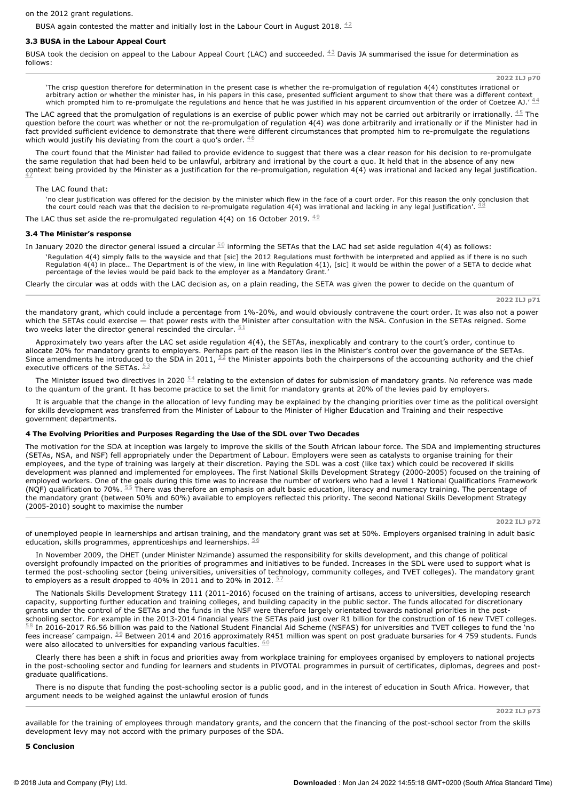on the 2012 grant regulations.

BUSA again contested the matter and initially lost in the Labour Court in August 2018.  $^{42}$ 

# **3.3 BUSA in the Labour Appeal Court**

BUSA took the decision on appeal to the Labour Appeal Court (LAC) and succeeded.  $^{43}$  Davis JA summarised the issue for determination as follows:

**2022 ILJ p70**

'The crisp question therefore for determination in the present case is whether the re-promulgation of regulation 4(4) constitutes irrational or arbitrary action or whether the minister has, in his papers in this case, presented sufficient argument to show that there was a different context<br>which prompted him to re-promulgate the regulations and hence that he was j

The LAC agreed that the promulgation of regulations is an exercise of public power which may not be carried out arbitrarily or irrationally.  $^{45}$  The question before the court was whether or not the re-promulgation of regulation 4(4) was done arbitrarily and irrationally or if the Minister had in fact provided sufficient evidence to demonstrate that there were different circumstances that prompted him to re-promulgate the regulations which would justify his deviating from the court a quo's order.  $46$ 

The court found that the Minister had failed to provide evidence to suggest that there was a clear reason for his decision to re-promulgate the same regulation that had been held to be unlawful, arbitrary and irrational by the court a quo. It held that in the absence of any new context being provided by the Minister as a justification for the re-promulgation, regulation 4(4) was irrational and lacked any legal justification.<br> $\frac{47}{2}$ 

## The LAC found that:

`no clear justification was offered for the decision by the minister which flew in the face of a court order. For this reason the only conclusion that<br>the court could reach was that the decision to re-promulgate regulation

The LAC thus set aside the re-promulgated regulation 4(4) on 16 October 2019.  $^{49}$ 

# **3.4 The Minister's response**

In January 2020 the director general issued a circular  $^{50}$  informing the SETAs that the LAC had set aside regulation 4(4) as follows:

'Regulation 4(4) simply falls to the wayside and that [sic] the 2012 Regulations must forthwith be interpreted and applied as if there is no such Regulation 4(4) in place… The Department is of the view, in line with Regulation 4(1), [sic] it would be within the power of a SETA to decide what percentage of the levies would be paid back to the employer as a Mandatory Grant.

Clearly the circular was at odds with the LAC decision as, on a plain reading, the SETA was given the power to decide on the quantum of

**2022 ILJ p71**

the mandatory grant, which could include a percentage from 1%-20%, and would obviously contravene the court order. It was also not a power which the SETAs could exercise — that power rests with the Minister after consultation with the NSA. Confusion in the SETAs reigned. Some two weeks later the director general rescinded the circular.  $51$ 

Approximately two years after the LAC set aside regulation 4(4), the SETAs, inexplicably and contrary to the court's order, continue to allocate 20% for mandatory grants to employers. Perhaps part of the reason lies in the Minister's control over the governance of the SETAs. Since amendments he introduced to the SDA in 2011,  $52$  the Minister appoints both the chairpersons of the accounting authority and the chief executive officers of the SETAs.  $53$ 

The Minister issued two directives in 2020  $^{54}$  relating to the extension of dates for submission of mandatory grants. No reference was made to the quantum of the grant. It has become practice to set the limit for mandatory grants at 20% of the levies paid by employers.

It is arguable that the change in the allocation of levy funding may be explained by the changing priorities over time as the political oversight for skills development was transferred from the Minister of Labour to the Minister of Higher Education and Training and their respective government departments.

## **4 The Evolving Priorities and Purposes Regarding the Use of the SDL over Two Decades**

The motivation for the SDA at inception was largely to improve the skills of the South African labour force. The SDA and implementing structures (SETAs, NSA, and NSF) fell appropriately under the Department of Labour. Employers were seen as catalysts to organise training for their employees, and the type of training was largely at their discretion. Paying the SDL was a cost (like tax) which could be recovered if skills development was planned and implemented for employees. The first National Skills Development Strategy (2000-2005) focused on the training of employed workers. One of the goals during this time was to increase the number of workers who had a level 1 National Qualifications Framework (NQF) qualification to 70%.  $^{55}$  There was therefore an emphasis on adult basic education, literacy and numeracy training. The percentage of the mandatory grant (between 50% and 60%) available to employers reflected this priority. The second National Skills Development Strategy  $(2005-2010)$  sought to maximise the number

**2022 ILJ p72**

of unemployed people in learnerships and artisan training, and the mandatory grant was set at 50%. Employers organised training in adult basic education, skills programmes, apprenticeships and learnerships.  $56$ 

In November 2009, the DHET (under Minister Nzimande) assumed the responsibility for skills development, and this change of political oversight profoundly impacted on the priorities of programmes and initiatives to be funded. Increases in the SDL were used to support what is termed the post-schooling sector (being universities, universities of technology, community colleges, and TVET colleges). The mandatory grant to employers as a result dropped to 40% in 2011 and to 20% in 2012.  $57$ 

The Nationals Skills Development Strategy 111 (2011-2016) focused on the training of artisans, access to universities, developing research capacity, supporting further education and training colleges, and building capacity in the public sector. The funds allocated for discretionary grants under the control of the SETAs and the funds in the NSF were therefore largely orientated towards national priorities in the postschooling sector. For example in the 2013-2014 financial years the SETAs paid just over R1 billion for the construction of 16 new TVET colleges.  $58$  In 2016-2017 R6.56 billion was paid to the National Student Financial Aid Scheme (NSFAS) for universities and TVET colleges to fund the 'no fees increase' campaign.  $59$  Between 2014 and 2016 approximately R451 million was spent on post graduate bursaries for 4 759 students. Funds were also allocated to universities for expanding various faculties.  $60$ 

Clearly there has been a shift in focus and priorities away from workplace training for employees organised by employers to national projects in the post-schooling sector and funding for learners and students in PIVOTAL programmes in pursuit of certificates, diplomas, degrees and postgraduate qualifications.

There is no dispute that funding the post-schooling sector is a public good, and in the interest of education in South Africa. However, that argument needs to be weighed against the unlawful erosion of funds

**2022 ILJ p73**

available for the training of employees through mandatory grants, and the concern that the financing of the post-school sector from the skills development levy may not accord with the primary purposes of the SDA.

**5 Conclusion**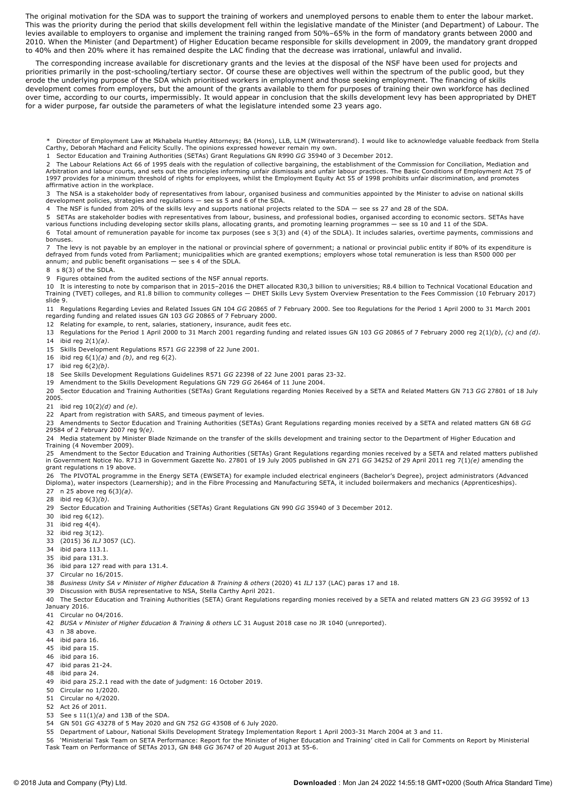The original motivation for the SDA was to support the training of workers and unemployed persons to enable them to enter the labour market. This was the priority during the period that skills development fell within the legislative mandate of the Minister (and Department) of Labour. The levies available to employers to organise and implement the training ranged from 50%–65% in the form of mandatory grants between 2000 and 2010. When the Minister (and Department) of Higher Education became responsible for skills development in 2009, the mandatory grant dropped to 40% and then 20% where it has remained despite the LAC finding that the decrease was irrational, unlawful and invalid.

The corresponding increase available for discretionary grants and the levies at the disposal of the NSF have been used for projects and priorities primarily in the post-schooling/tertiary sector. Of course these are objectives well within the spectrum of the public good, but they erode the underlying purpose of the SDA which prioritised workers in employment and those seeking employment. The financing of skills development comes from employers, but the amount of the grants available to them for purposes of training their own workforce has declined over time, according to our courts, impermissibly. It would appear in conclusion that the skills development levy has been appropriated by DHET for a wider purpose, far outside the parameters of what the legislature intended some 23 years ago.

\* Director of Employment Law at Mkhabela Huntley Attorneys; BA (Hons), LLB, LLM (Witwatersrand). I would like to acknowledge valuable feedback from Stella Carthy, Deborah Machard and Felicity Scully. The opinions expressed however remain my own.

1 Sector Education and Training Authorities (SETAs) Grant Regulations GN R990 *GG* 35940 of 3 December 2012.

2 The Labour Relations Act 66 of 1995 deals with the regulation of collective bargaining, the establishment of the Commission for Conciliation, Mediation and Arbitration and labour courts, and sets out the principles informing unfair dismissals and unfair labour practices. The Basic Conditions of Employment Act 75 of<br>1997 provides for a minimum threshold of rights for employees affirmative action in the workplace.

3 The NSA is a stakeholder body of representatives from labour, organised business and communities appointed by the Minister to advise on national skills<br>development policies, strategies and regulations — see ss 5 and 6 of

4 The NSF is funded from 20% of the skills levy and supports national projects related to the SDA — see ss 27 and 28 of the SDA.

5 SETAs are stakeholder bodies with representatives from labour, business, and professional bodies, organised according to economic sectors. SETAs have<br>various functions including developing sector skills plans, allocating

6 Total amount of remuneration payable for income tax purposes (see s 3(3) and (4) of the SDLA). It includes salaries, overtime payments, commissions and bonuses.

7 The levy is not payable by an employer in the national or provincial sphere of government; a national or provincial public entity if 80% of its expenditure is<br>defrayed from funds voted from Parliament; municipalities w annum; and public benefit organisations — see s 4 of the SDLA.

8 s 8(3) of the SDLA.

9 Figures obtained from the audited sections of the NSF annual reports.

10 It is interesting to note by comparison that in 2015–2016 the DHET allocated R30,3 billion to universities; R8.4 billion to Technical Vocational Education and Training (TVET) colleges, and R1.8 billion to community colleges — DHET Skills Levy System Overview Presentation to the Fees Commission (10 February 2017) slide 9.

11 Regulations Regarding Levies and Related Issues GN 104 *GG* 20865 of 7 February 2000. See too Regulations for the Period 1 April 2000 to 31 March 2001 regarding funding and related issues GN 103 *GG* 20865 of 7 February 2000.

12 Relating for example, to rent, salaries, stationery, insurance, audit fees etc.

13 Regulations for the Period 1 April 2000 to 31 March 2001 regarding funding and related issues GN 103 *GG* 20865 of 7 February 2000 reg 2(1)*(b)*, *(c)* and *(d)*. 14 ibid reg 2(1)*(a)*.

15 Skills Development Regulations R571 *GG* 22398 of 22 June 2001.

16 ibid reg 6(1)*(a)* and *(b)*, and reg 6(2).

17 ibid reg 6(2)*(b)*.

18 See Skills Development Regulations Guidelines R571 *GG* 22398 of 22 June 2001 paras 2332.

19 Amendment to the Skills Development Regulations GN 729 *GG* 26464 of 11 June 2004.

20 Sector Education and Training Authorities (SETAs) Grant Regulations regarding Monies Received by a SETA and Related Matters GN 713 *GG* 27801 of 18 July 2005.

21 ibid reg 10(2)*(d)* and *(e)*.

22 Apart from registration with SARS, and timeous payment of levies.

23 Amendments to Sector Education and Training Authorities (SETAs) Grant Regulations regarding monies received by a SETA and related matters GN 68 *GG* 29584 of 2 February 2007 reg 9*(e)*.

24 Media statement by Minister Blade Nzimande on the transfer of the skills development and training sector to the Department of Higher Education and Training (4 November 2009).

25 Amendment to the Sector Education and Training Authorities (SETAs) Grant Regulations regarding monies received by a SETA and related matters published<br>in Government Notice No. R713 in Government Gazette No. 27801 of 1 grant regulations n 19 above.

26 The PIVOTAL programme in the Energy SETA (EWSETA) for example included electrical engineers (Bachelor's Degree), project administrators (Advanced<br>Diploma), water inspectors (Learnership); and in the Fibre Processing a

- 27 n 25 above reg 6(3)*(a)*.
- 28 ibid reg 6(3)*(b)*.

29 Sector Education and Training Authorities (SETAs) Grant Regulations GN 990 *GG* 35940 of 3 December 2012.

30 ibid reg 6(12).

31 ibid reg 4(4).

- 32 ibid reg 3(12).
- 33 (2015) 36 *ILJ* 3057 (LC).
- 34 ibid para 113.1.
- 35 ibid para 131.3.
- 36 ibid para 127 read with para 131.4.
- 37 Circular no 16/2015.

38 *Business Unity SA v Minister of Higher Education & Training & others* (2020) 41 *ILJ* 137 (LAC) paras 17 and 18.

39 Discussion with BUSA representative to NSA, Stella Carthy April 2021.

40 The Sector Education and Training Authorities (SETA) Grant Regulations regarding monies received by a SETA and related matters GN 23 *GG* 39592 of 13

- January 2016.
- 41 Circular no 04/2016.

42 *BUSA v Minister of Higher Education & Training & others* LC 31 August 2018 case no JR 1040 (unreported).

- 43 n 38 above.
- 44 ibid para 16.
- 45 ibid para 15.
- 46 ibid para 16.
- 47 ibid paras 21-24.
- 48 ibid para 24.
- 49 ibid para 25.2.1 read with the date of judgment: 16 October 2019.
- 50 Circular no 1/2020.
- 51 Circular no 4/2020.
- 52 Act 26 of 2011.
- 53 See s 11(1)*(a)* and 13B of the SDA.
- 54 GN 501 *GG* 43278 of 5 May 2020 and GN 752 *GG* 43508 of 6 July 2020.
- 55 Department of Labour, National Skills Development Strategy Implementation Report 1 April 200331 March 2004 at 3 and 11.

56 `Ministerial Task Team on SETA Performance: Report for the Minister of Higher Education and Training' cited in Call for Comments on Report by Ministerial<br>Task Team on Performance of SETAs 2013, GN 848 GG 36747 of 20 A